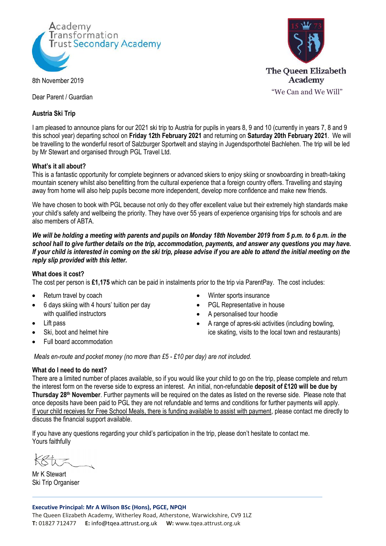

8th November 2019

Dear Parent / Guardian

## **Austria Ski Trip**

**The Queen Elizabeth** Academy "We Can and We Will"

I am pleased to announce plans for our 2021 ski trip to Austria for pupils in years 8, 9 and 10 (currently in years 7, 8 and 9 this school year) departing school on **Friday 12th February 2021** and returning on **Saturday 20th February 2021**. We will be travelling to the wonderful resort of Salzburger Sportwelt and staying in Jugendsporthotel Bachlehen. The trip will be led by Mr Stewart and organised through PGL Travel Ltd.

### **What's it all about?**

This is a fantastic opportunity for complete beginners or advanced skiers to enjoy skiing or snowboarding in breath-taking mountain scenery whilst also benefitting from the cultural experience that a foreign country offers. Travelling and staying away from home will also help pupils become more independent, develop more confidence and make new friends.

We have chosen to book with PGL because not only do they offer excellent value but their extremely high standards make your child's safety and wellbeing the priority. They have over 55 years of experience organising trips for schools and are also members of ABTA.

*We will be holding a meeting with parents and pupils on Monday 18th November 2019 from 5 p.m. to 6 p.m. in the school hall to give further details on the trip, accommodation, payments, and answer any questions you may have. If your child is interested in coming on the ski trip, please advise if you are able to attend the initial meeting on the reply slip provided with this letter.*

### **What does it cost?**

The cost per person is **£1,175** which can be paid in instalments prior to the trip via ParentPay. The cost includes:

- Return travel by coach
- 6 days skiing with 4 hours' tuition per day with qualified instructors
- Lift pass
- Ski, boot and helmet hire
- Full board accommodation
- Winter sports insurance
- PGL Representative in house
- A personalised tour hoodie
- A range of apres-ski activities (including bowling, ice skating, visits to the local town and restaurants)

*Meals en-route and pocket money (no more than £5 - £10 per day) are not included.*

### **What do I need to do next?**

There are a limited number of places available, so if you would like your child to go on the trip, please complete and return the interest form on the reverse side to express an interest. An initial, non-refundable **deposit of £120 will be due by Thursday 28th November**. Further payments will be required on the dates as listed on the reverse side. Please note that once deposits have been paid to PGL they are not refundable and terms and conditions for further payments will apply. If your child receives for Free School Meals, there is funding available to assist with payment, please contact me directly to discuss the financial support available.

If you have any questions regarding your child's participation in the trip, please don't hesitate to contact me. Yours faithfully

Mr K Stewart Ski Trip Organiser